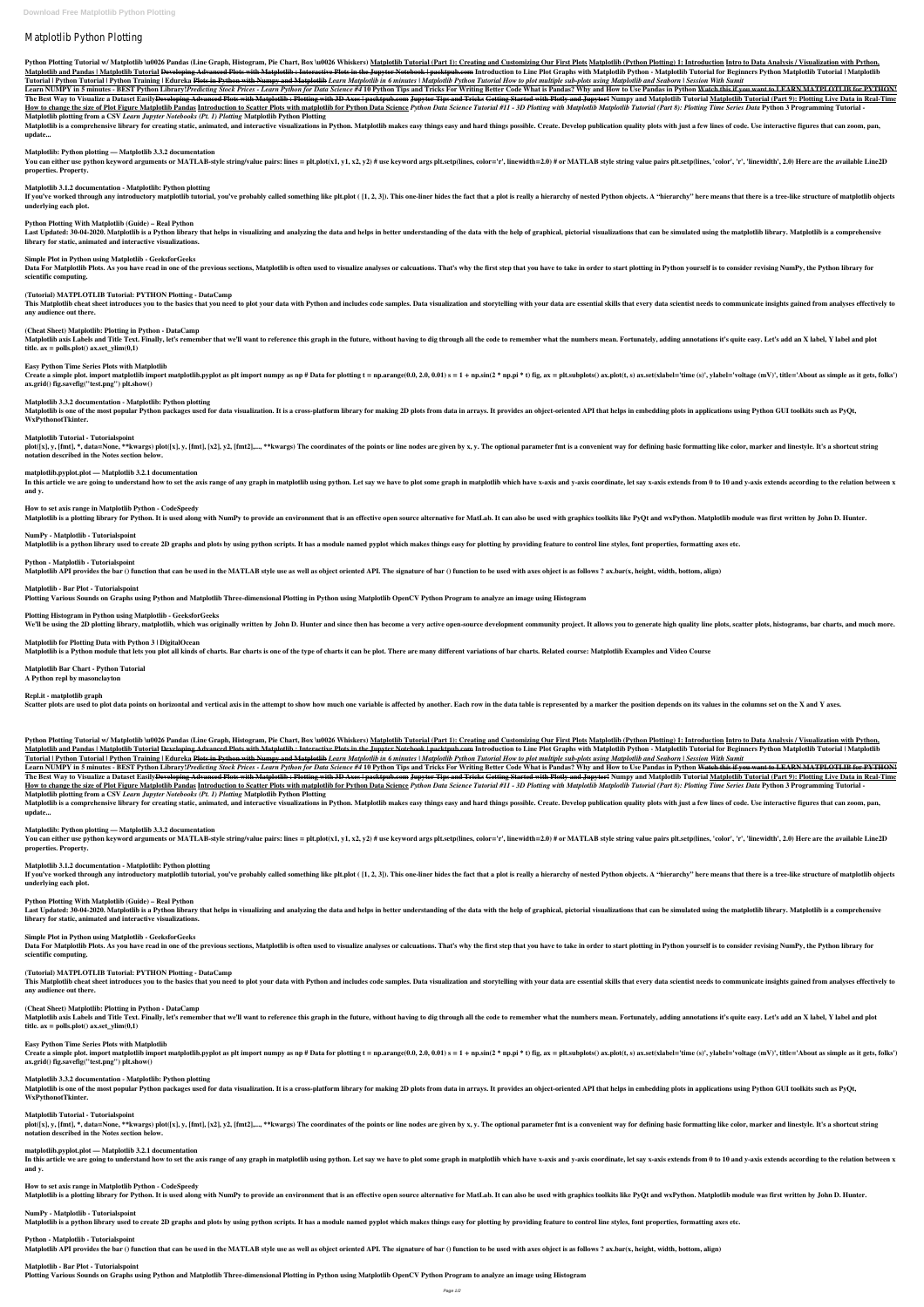# Matplotlib Python Plotting

Python Plotting Tutorial w/ Matplotlib \u0026 Pandas (Line Graph, Histogram, Pie Chart, Box \u0026 Whiskers) Matplotlib Tutorial (Part 1): Creating and Customizing Our First Plots Matplotlib (Python Plotting) 1: Introducti Matplotlib and Pandas | Matplotlib Tutorial <del>Developing Advanced Plots with Matplotlib: Interactive Plots in the Jupyter Notebook | packtpub.com</del> Introduction to Line Plot Graphs with Matplotlib Python - Matplotlib Tutoria Tutorial | Python Tutorial | Python Training | Edureka Plots in Python with Numpy and Matplotlib Learn Matplotlib in 6 minutes | Matplotlib Python Tutorial How to plot multiple sub-plots using Matplotlib and Seaborn | Sess

Learn NUMPY in 5 minutes - BEST Python Library!*Predicting Stock Prices - Learn Python for Data Science #4* 10 Python Tips and Tricks For Writing Better Code What is Pandas? Why and How to Use Pandas in Python <del>Watch this </del> The Best Way to Visualize a Dataset Easily<del>Developing Advanced Plots with Matplotlib: Plotting with 3D Axes | packtpub.com Jupyter Tips and Tricks Getting Started with Plotly and Jupyter! Numpy and Matplotlib Tutorial (Mat</del> How to change the size of Plot Figure Matplotlib Pandas Introduction to Scatter Plots with matplotlib for Python Data Science Python Data Science Tutorial #11 - 3D Plotting with Matplotlib Matplotlib Tutorial (Part 8): Plo **Matplotlib plotting from a CSV** *Learn Jupyter Notebooks (Pt. 1) Plotting* **Matplotlib Python Plotting**

Matplotlib is a comprehensive library for creating static, animated, and interactive visualizations in Python. Matplotlib makes easy things possible. Create. Develop publication quality plots with just a few lines of code. **update...**

You can either use python keyword arguments or MATLAB-style string/value pairs: lines = plt.plot(x1, y1, x2, y2) # use keyword args plt.setp(lines, color='r', linewidth=2.0) # or MATLAB style string value pairs plt.setp(li **properties. Property.**

If you've worked through any introductory matplotlib tutorial, you've probably called something like plt.plot ([1, 2, 3]). This one-liner hides the fact that a plot is really a hierarchy of nested Python objects. A "hierar **underlying each plot.**

Last Updated: 30-04-2020. Matplotlib is a Python library that helps in visualizing and analyzing the data and helps in better understanding of the data with the help of graphical, pictorial visualizations that can be simul **library for static, animated and interactive visualizations.**

Data For Matplotlib Plots. As you have read in one of the previous sections, Matplotlib is often used to visualize analyses or calcuations. That's why the first step that you have to take in order to start plotting in Pyth **scientific computing.**

This Matplotlib cheat sheet introduces you to the basics that you need to plot your data with Python and includes code samples. Data visualization and storytelling with your data are essential skills that every data scient **any audience out there.**

# **Matplotlib: Python plotting — Matplotlib 3.3.2 documentation**

Create a simple plot. import matplotlib import matplotlib.pyplot as plt import numpy as np # Data for plotting t = np.arange(0.0, 2.0, 0.01) s = 1 + np.sin(2 \* np.pi \* t) fig, ax = plt.subplots() ax.plot(t, s) ax.set(xlabe **ax.grid() fig.savefig("test.png") plt.show()**

# **Matplotlib 3.1.2 documentation - Matplotlib: Python plotting**

Matplotlib is one of the most popular Python packages used for data visualization. It is a cross-platform library for making 2D plots from data in arrays. It provides an object-oriented API that helps in embedding plots in **WxPythonotTkinter.**

plot([x], y, [fmt], \*, data=None, \*\*kwargs) plot([x], y, [fmt], [x2], y2, [fmt2],..., \*\*kwargs) The coordinates of the points or line nodes are given by x, y. The optional parameter fmt is a convenient way for defining bas **notation described in the Notes section below.**

# **Python Plotting With Matplotlib (Guide) – Real Python**

In this article we are going to understand how to set the axis range of any graph in matplotlib using python. Let say we have to plot some graph in matplotlib which have x-axis and y-axis coordinate, let say x-axis extends **and y.**

# **Simple Plot in Python using Matplotlib - GeeksforGeeks**

# **(Tutorial) MATPLOTLIB Tutorial: PYTHON Plotting - DataCamp**

# **(Cheat Sheet) Matplotlib: Plotting in Python - DataCamp**

Matplotlib axis Labels and Title Text. Finally, let's remember that we'll want to reference this graph in the future, without having to dig through all the code to remember what the numbers mean. Fortunately, adding annota title.  $ax = polls.plot() ax.set\_ylim(0,1)$ 

# **Easy Python Time Series Plots with Matplotlib**

# **Matplotlib 3.3.2 documentation - Matplotlib: Python plotting**

Learn NUMPY in 5 minutes - BEST Python Library!*Predicting Stock Prices - Learn Python for Data Science #4* 10 Python Tips and Tricks For Writing Better Code What is Pandas? Why and How to Use Pandas in Python <del>Watch this </del> The Best Way to Visualize a Dataset Easily<del>Developing Advanced Plots with Matplotlib: Plotting with 3D Axes | packtpub.com Jupyter Tips and Tricks Getting Started with Plotly and Jupyter! Numpy and Matplotlib Tutorial Matp</del> How to change the size of Plot Figure Matplotlib Pandas Introduction to Scatter Plots with matplotlib for Python Data Science Python Data Science Tutorial #11 - 3D Plotting with Matplotlib Matplotlib Tutorial (Part 8): Plo **Matplotlib plotting from a CSV** *Learn Jupyter Notebooks (Pt. 1) Plotting* **Matplotlib Python Plotting**

Matplotlib is a comprehensive library for creating static, animated, and interactive visualizations in Python. Matplotlib makes easy things easy and hard things possible. Create. Develop publication quality plots with just **update...**

# **Matplotlib Tutorial - Tutorialspoint**

You can either use python keyword arguments or MATLAB-style string/value pairs: lines = plt.plot(x1, y1, x2, y2) # use keyword args plt.setp(lines, color='r', linewidth=2.0) # or MATLAB style string value pairs plt.setp(li **properties. Property.**

If you've worked through any introductory matplotlib tutorial, you've probably called something like plt.plot ( [1, 2, 3]). This one-liner hides the fact that a plot is really a hierarchy of nested Python objects. A "hiera **underlying each plot.**

# **matplotlib.pyplot.plot — Matplotlib 3.2.1 documentation**

Last Updated: 30-04-2020. Matplotlib is a Python library that helps in visualizing and analyzing the data and helps in better understanding of the data with the help of graphical, pictorial visualizations that can be simul **library for static, animated and interactive visualizations.**

Data For Matplotlib Plots. As you have read in one of the previous sections, Matplotlib is often used to visualize analyses or calcuations. That's why the first step that you have to take in order to start plotting in Pyth **scientific computing.**

#### **How to set axis range in Matplotlib Python - CodeSpeedy**

Matplotlib is a plotting library for Python. It is used along with NumPy to provide an environment that is an effective open source alternative for MatLab. It can also be used with graphics toolkits like PyOt and wxPython.

#### **NumPy - Matplotlib - Tutorialspoint**

Matplotlib is a python library used to create 2D graphs and plots by using python scripts. It has a module named pyplot which makes things easy for plotting by providing feature to control line styles, font properties, for

Create a simple plot. import matplotlib import matplotlib.pyplot as plt import numpy as np # Data for plotting t = np.arange(0.0, 2.0, 0.01) s = 1 + np.sin(2 \* np.pi \* t) fig, ax = plt.subplots() ax.plot(t, s) ax.set(xlab **ax.grid() fig.savefig("test.png") plt.show()**

#### **Python - Matplotlib - Tutorialspoint**

Matplotlib API provides the bar () function that can be used in the MATLAB style use as well as object oriented API. The signature of bar () function to be used with axes object is as follows? ax.bar(x, height, width, bott

Matplotlib is one of the most popular Python packages used for data visualization. It is a cross-platform library for making 2D plots from data in arrays. It provides an object-oriented API that helps in embedding plots in **WxPythonotTkinter.**

plot([x], y, [fmt], \*, data=None, \*\*kwargs) plot([x], y, [fmt], [x2], y2, [fmt2],..., \*\*kwargs) The coordinates of the points or line nodes are given by x, y. The optional parameter fmt is a convenient way for defining bas **notation described in the Notes section below.**

#### **Matplotlib - Bar Plot - Tutorialspoint**

**Plotting Various Sounds on Graphs using Python and Matplotlib Three-dimensional Plotting in Python using Matplotlib OpenCV Python Program to analyze an image using Histogram**

In this article we are going to understand how to set the axis range of any graph in matplotlib using python. Let say we have to plot some graph in matplotlib which have x-axis and y-axis coordinate, let say x-axis extends **and y.**

**How to set axis range in Matplotlib Python - CodeSpeedy** Matplotlib is a plotting library for Python. It is used along with NumPy to provide an environment that is an effective open source alternative for MatLab. It can also be used with graphics toolkits like PyQt and wxPython.

#### **Plotting Histogram in Python using Matplotlib - GeeksforGeeks**

We'll be using the 2D plotting library, matplotlib, which was originally written by John D. Hunter and since then has become a very active open-source development community proiect. It allows you to generate high quality l

#### **Matplotlib for Plotting Data with Python 3 | DigitalOcean**

Matplotlib is a Python module that lets you plot all kinds of charts. Bar charts is one of the type of charts it can be plot. There are many different variations of bar charts. Related course: Matplotlib Examples and Video

#### **Matplotlib Bar Chart - Python Tutorial A Python repl by masonclayton**

#### **Repl.it - matplotlib graph**

Scatter plots are used to plot data points on horizontal and vertical axis in the attempt to show how much one variable is affected by another. Each row in the data table is represented by a marker the position depends on

Python Plotting Tutorial w/ Matplotlib \u0026 Pandas (Line Graph, Histogram, Pie Chart, Box \u0026 Whiskers) Matplotlib Tutorial (Part 1): Creating and Customizing Our First Plots Matplotlib (Python Plotting) 1: Introducti Matplotlib and Pandas | Matplotlib Tutorial Developing Advanced Plots with Matplotlib : Interactive Plots in the Jupyter Notebook | packtpub.com</del> Introduction to Line Plot Graphs with Matplotlib Python - Matplotlib Tutoria Tutorial | Python Tutorial | Python Training | Edureka Plots in Python with Numpy and Matplotlib Learn Matplotlib in 6 minutes | Matplotlib Python Tutorial How to plot multiple sub-plots using Matplotlib and Seaborn | Sess

### **Matplotlib: Python plotting — Matplotlib 3.3.2 documentation**

### **Matplotlib 3.1.2 documentation - Matplotlib: Python plotting**

### **Python Plotting With Matplotlib (Guide) – Real Python**

### **Simple Plot in Python using Matplotlib - GeeksforGeeks**

# **(Tutorial) MATPLOTLIB Tutorial: PYTHON Plotting - DataCamp**

This Matplotlib cheat sheet introduces you to the basics that you need to plot your data with Python and includes code samples. Data visualization and storytelling with your data are essential skills that every data scient

#### **any audience out there.**

# **(Cheat Sheet) Matplotlib: Plotting in Python - DataCamp**

Matplotlib axis Labels and Title Text. Finally, let's remember that we'll want to reference this graph in the future, without having to dig through all the code to remember what the numbers mean. Fortunately, adding annota title.  $ax = polls.plot() ax.set\_ylim(0,1)$ 

# **Easy Python Time Series Plots with Matplotlib**

# **Matplotlib 3.3.2 documentation - Matplotlib: Python plotting**

# **Matplotlib Tutorial - Tutorialspoint**

# **matplotlib.pyplot.plot — Matplotlib 3.2.1 documentation**

# **NumPy - Matplotlib - Tutorialspoint**

Matplotlib is a python library used to create 2D graphs and plots by using python scripts. It has a module named pyplot which makes things easy for plotting by providing feature to control line styles, font properties, for

# **Python - Matplotlib - Tutorialspoint**

Matplotlib API provides the bar () function that can be used in the MATLAB style use as well as object oriented API. The signature of bar () function to be used with axes object is as follows? ax.bar(x, height, width, bott

# **Matplotlib - Bar Plot - Tutorialspoint**

**Plotting Various Sounds on Graphs using Python and Matplotlib Three-dimensional Plotting in Python using Matplotlib OpenCV Python Program to analyze an image using Histogram**